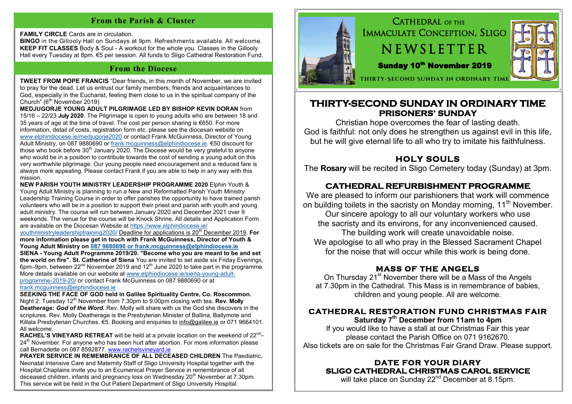#### **From the Parish & Cluster**

**FAMILY CIRCLE** Cards are in circulation.

**BINGO** in the Gillooly Hall on Sundays at 9pm. Refreshments available. All welcome. **KEEP FIT CLASSES** Body & Soul - A workout for the whole you. Classes in the Gillooly Hall every Tuesday at 8pm. €5 per session. All funds to Sligo Cathedral Restoration Fund.

#### **From the Diocese**

**TWEET FROM POPE FRANCIS** "Dear friends, in this month of November, we are invited to pray for the dead. Let us entrust our family members, friends and acquaintances to God, especially in the Eucharist, feeling them close to us in the spiritual company of the Church" ( $6<sup>th</sup>$  November 2019)

**MEDJUGORJE YOUNG ADULT PILGRIMAGE LED BY BISHOP KEVIN DORAN** from 15/16 – 22/23 **July 2020**. The Pilgrimage is open to young adults who are between 18 and 35 years of age at the time of travel. The cost per person sharing is €650. For more information, detail of costs, registration form etc. please see the diocesan website on [www.elphindiocese.ie/medjugorje2020](http://www.elphindiocese.ie/medjugorje2020) or contact Frank McGuinness, Director of Young Adult Ministry, on 087 9880690 or [frank.mcguinness@elphindiocese.ie.](mailto:frank.mcguinness@elphindiocese.ie) €50 discount for those who book before  $30<sup>th</sup>$  January 2020. The Diocese would be very grateful to anyone who would be in a position to contribute towards the cost of sending a young adult on this very worthwhile pilgrimage. Our young people need encouragement and a reduced fare is always more appealing. Please contact Frank if you are able to help in any way with this mission.

**NEW PARISH YOUTH MINISTRY LEADERSHIP PROGRAMME 2020** Elphin Youth & Young Adult Ministry is planning to run a New and Reformatted Parish Youth Ministry Leadership Training Course in order to offer parishes the opportunity to have trained parish volunteers who will be in a position to support their priest and parish with youth and young adult ministry. The course will run between January 2020 and December 2021 over 9 weekends. The venue for the course will be Knock Shrine. All details and Application Form are available on the Diocesan Website at [https://www.elphindiocese.ie/](https://www.elphindiocese.ie/youthministryleadershiptraining2020/)

[youthministryleadershiptraining2020/](https://www.elphindiocese.ie/youthministryleadershiptraining2020/) Deadline for applications is 20th December 2019. **For more information please get in touch with Frank McGuinness, Director of Youth & Young Adult Ministry on [087 9880690 or frank.mcguinness@elphindiocese.ie](mailto:9880690/frank.mcguinness@elphindiocese.ie)**

**SIENA - Young Adult Programme 2019/20. "Become who you are meant to be and set the world on fire". St. Catherine of Siena** You are invited to set aside six Friday Evenings,  $\frac{1}{2}$  6pm–9pm, between 22<sup>nd</sup> November 2019 and 12<sup>th</sup> June 2020 to take part in the programme. More details available on our website at [www.elphindiocese.ie/siena](http://www.elphindiocese.ie/siena-young-adult-programme-2019-20/)-young-adult[programme](http://www.elphindiocese.ie/siena-young-adult-programme-2019-20/)-2019-20/ or contact Frank McGuinness on 087 9880690 or at [frank.mcguinness@elphindiocese.ie](mailto:frank.mcguinness@elphindiocese.ie)

**SEEKING THE FACE OF GOD held in Galilee Spirituality Centre, Co. Roscommon.** Night 2: Tuesday 12<sup>th</sup> November from 7.30pm to 9.00pm closing with tea. **Rev. Molly Deatherage:** *God of the Word.* Rev. Molly will share with us the God she discovers in the scriptures. Rev. Molly Deatherage is the Presbyterian Minister of Ballina, Ballymote and Killala Presbyterian Churches. €5. Booking and enquiries to [info@galilee.ie](mailto:info@galilee.ie) or 071 9664101. All welcome.

RACHEL'S VINEYARD RETREAT will be held at a private location on the weekend of 22<sup>nd</sup>- $24<sup>th</sup>$  November. For anyone who has been hurt after abortion. For more information please call Bernadette on 087 8592877. [www.rachelsvineyard.ie](http://www.rachelsvineyard.ie)

**PRAYER SERVICE IN REMEMBRANCE OF ALL DECEASED CHILDREN** The Paediatric. Neonatal Intensive Care and Maternity Staff of Sligo University Hospital together with the Hospital Chaplains invite you to an Ecumenical Prayer Service in remembrance of all deceased children, infants and pregnancy loss on Wednesday 20<sup>th</sup> November at 7.30pm. This service will be held in the Out Patient Department of Sligo University Hospital.



 IMMACULATE CONCEPTION, SLIGO **NEWSLETTER** Sunday 10<sup>th</sup> November 2019  **Thirty-Second Sunday in Ordinary Time**

# **THIRTY-SECOND SUNDAY IN ORDINARY TIME PRISONERS' SUNDAY**

CATHEDRAL OF THE

Christian hope overcomes the fear of lasting death. God is faithful: not only does he strengthen us against evil in this life, but he will give eternal life to all who try to imitate his faithfulness.

# **HOLY SOULS**

The **Rosary** will be recited in Sligo Cemetery today (Sunday) at 3pm.

# **CATHEDRAL REFURBISHMENT PROGRAMME**

We are pleased to inform our parishioners that work will commence on building toilets in the sacristy on Monday morning, 11<sup>th</sup> November. Our sincere apology to all our voluntary workers who use the sacristy and its environs, for any inconvenienced caused. The building work will create unavoidable noise. We apologise to all who pray in the Blessed Sacrament Chapel for the noise that will occur while this work is being done.

## **MASS OF THE ANGELS**

On Thursday 21<sup>st</sup> November there will be a Mass of the Angels at 7.30pm in the Cathedral. This Mass is in remembrance of babies, children and young people. All are welcome.

## **CATHEDRAL RESTORATION FUND CHRISTMAS FAIR**

**Saturday 7th December from 11am to 4pm**

If you would like to have a stall at our Christmas Fair this year please contact the Parish Office on 071 9162670. Also tickets are on sale for the Christmas Fair Grand Draw. Please support.

## **DATE FOR YOUR DIARY SLIGO CATHEDRAL CHRISTMAS CAROL SERVICE**

will take place on Sunday 22<sup>nd</sup> December at 8.15pm.